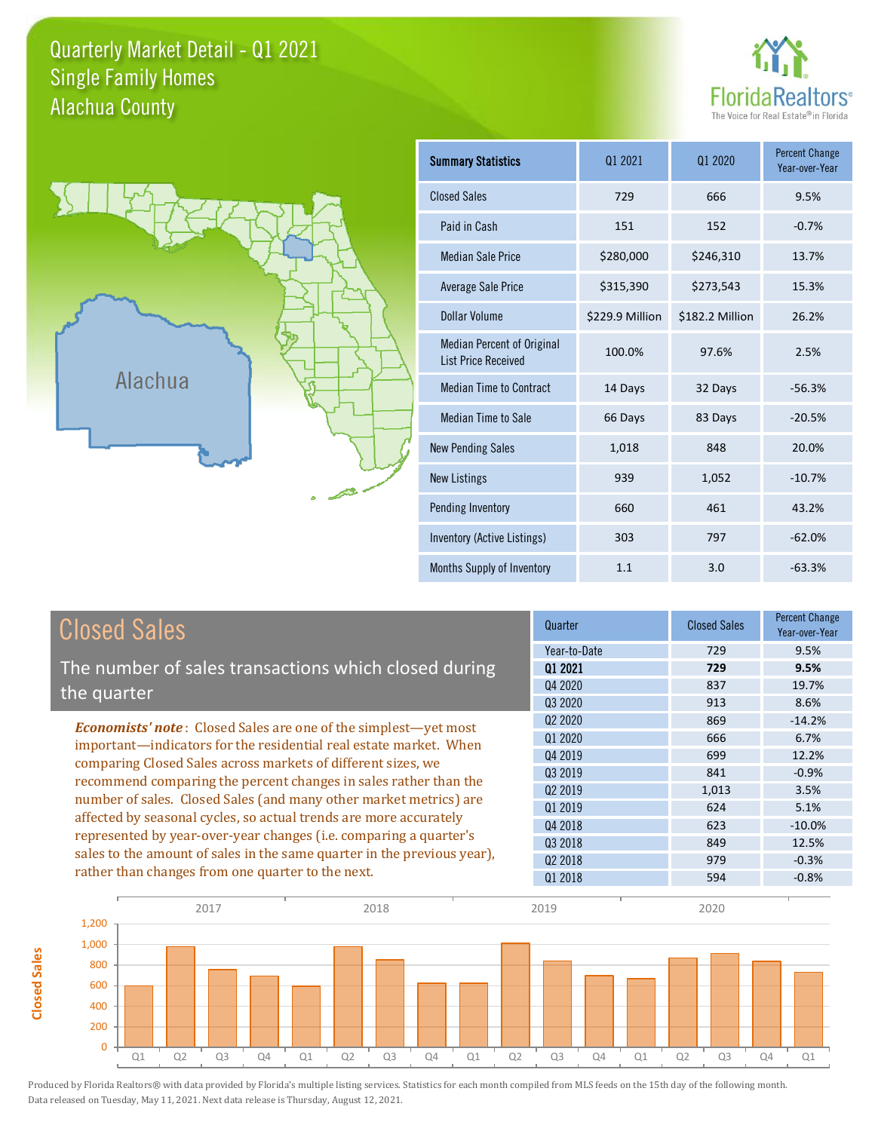### Quarterly Market Detail - Q1 2021 Alachua County Single Family Homes





**Closed Sales**

**Closed Sales** 

| <b>Summary Statistics</b>                                       | 01 2021         | 01 2020         | <b>Percent Change</b><br>Year-over-Year |
|-----------------------------------------------------------------|-----------------|-----------------|-----------------------------------------|
| <b>Closed Sales</b>                                             | 729             | 666             | 9.5%                                    |
| Paid in Cash                                                    | 151             | 152             | $-0.7%$                                 |
| <b>Median Sale Price</b>                                        | \$280,000       | \$246,310       | 13.7%                                   |
| <b>Average Sale Price</b>                                       | \$315,390       | \$273,543       | 15.3%                                   |
| Dollar Volume                                                   | \$229.9 Million | \$182.2 Million | 26.2%                                   |
| <b>Median Percent of Original</b><br><b>List Price Received</b> | 100.0%          | 97.6%           | 2.5%                                    |
| <b>Median Time to Contract</b>                                  | 14 Days         | 32 Days         | $-56.3%$                                |
| <b>Median Time to Sale</b>                                      | 66 Days         | 83 Days         | $-20.5%$                                |
| <b>New Pending Sales</b>                                        | 1,018           | 848             | 20.0%                                   |
| <b>New Listings</b>                                             | 939             | 1,052           | $-10.7%$                                |
| Pending Inventory                                               | 660             | 461             | 43.2%                                   |
| Inventory (Active Listings)                                     | 303             | 797             | $-62.0%$                                |
| Months Supply of Inventory                                      | 1.1             | 3.0             | $-63.3%$                                |

| <b>Closed Sales</b>                                                                                                                                                                                                                                                                                                                             | Quarter             | <b>Closed Sales</b> | <b>Percent Change</b><br>Year-over-Year |
|-------------------------------------------------------------------------------------------------------------------------------------------------------------------------------------------------------------------------------------------------------------------------------------------------------------------------------------------------|---------------------|---------------------|-----------------------------------------|
|                                                                                                                                                                                                                                                                                                                                                 | Year-to-Date        | 729                 | 9.5%                                    |
| The number of sales transactions which closed during                                                                                                                                                                                                                                                                                            | 01 2021             | 729                 | 9.5%                                    |
| the quarter                                                                                                                                                                                                                                                                                                                                     | Q4 2020             | 837                 | 19.7%                                   |
|                                                                                                                                                                                                                                                                                                                                                 | 03 2020             | 913                 | 8.6%                                    |
| <b>Economists' note:</b> Closed Sales are one of the simplest—yet most                                                                                                                                                                                                                                                                          | Q <sub>2</sub> 2020 | 869                 | $-14.2%$                                |
| important—indicators for the residential real estate market. When                                                                                                                                                                                                                                                                               | Q1 2020             | 666                 | 6.7%                                    |
| comparing Closed Sales across markets of different sizes, we<br>recommend comparing the percent changes in sales rather than the<br>number of sales. Closed Sales (and many other market metrics) are<br>affected by seasonal cycles, so actual trends are more accurately<br>represented by year-over-year changes (i.e. comparing a quarter's | Q4 2019             | 699                 | 12.2%                                   |
|                                                                                                                                                                                                                                                                                                                                                 | 03 2019             | 841                 | $-0.9%$                                 |
|                                                                                                                                                                                                                                                                                                                                                 | Q <sub>2</sub> 2019 | 1,013               | 3.5%                                    |
|                                                                                                                                                                                                                                                                                                                                                 | Q1 2019             | 624                 | 5.1%                                    |
|                                                                                                                                                                                                                                                                                                                                                 | Q4 2018             | 623                 | $-10.0\%$                               |
|                                                                                                                                                                                                                                                                                                                                                 | 03 2018             | 849                 | 12.5%                                   |
| sales to the amount of sales in the same quarter in the previous year),                                                                                                                                                                                                                                                                         | 02 2018             | 979                 | $-0.3%$                                 |
| rather than changes from one quarter to the next.                                                                                                                                                                                                                                                                                               | Q1 2018             | 594                 | $-0.8%$                                 |

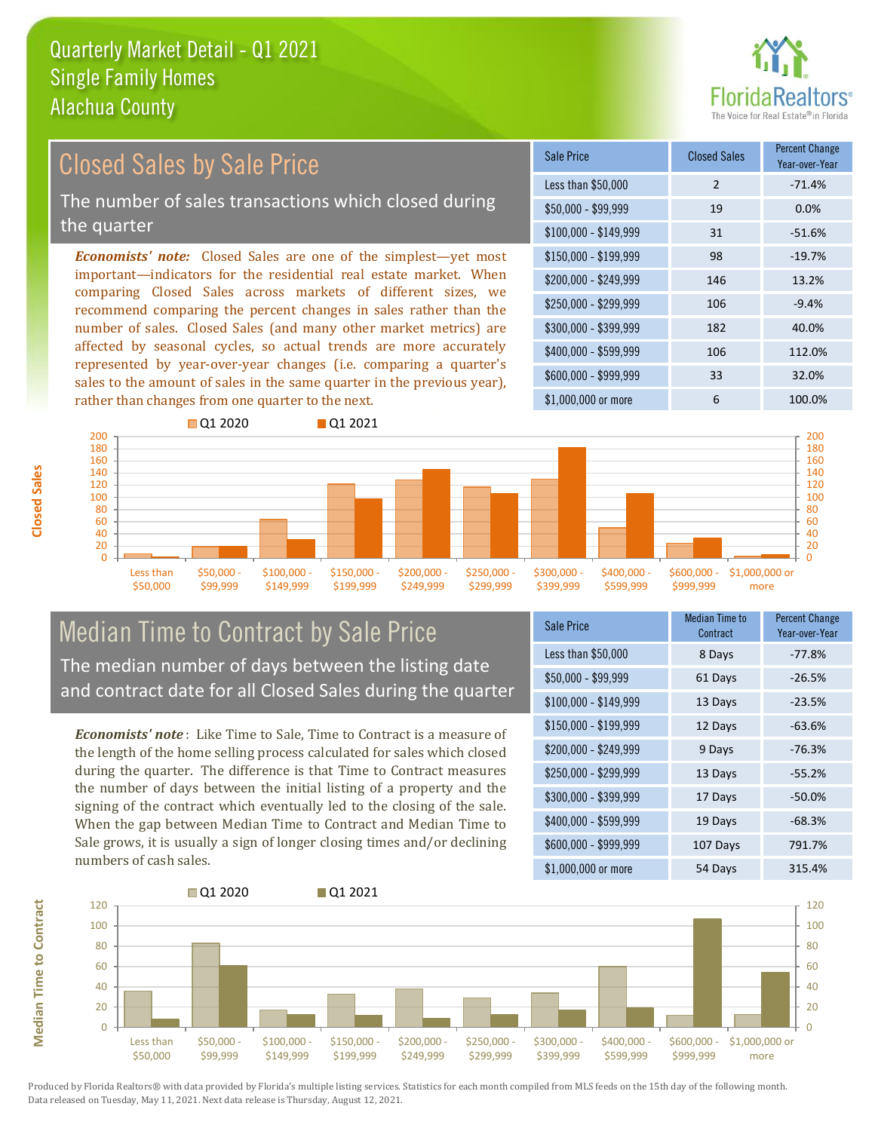

### \$100,000 - \$149,999 31 -51.6% Sale Price Closed Sales Percent Change Year-over-Year Less than \$50,000 2 -71.4%  $$50,000 - $99,999$  19 0.0% \$150,000 - \$199,999 98 -19.7% \$200,000 - \$249,999 146 13.2% \$400,000 - \$599,999 106 112.0% \$600,000 - \$999,999 33 32.0% *Economists' note:* Closed Sales are one of the simplest—yet most important—indicators for the residential real estate market. When comparing Closed Sales across markets of different sizes, we recommend comparing the percent changes in sales rather than the number of sales. Closed Sales (and many other market metrics) are affected by seasonal cycles, so actual trends are more accurately represented by year-over-year changes (i.e. comparing a quarter's sales to the amount of sales in the same quarter in the previous year), rather than changes from one quarter to the next. \$1,000,000 or more 6 100.0%  $$250,000 - $299,999$  106 -9.4% \$300,000 - \$399,999 182 40.0% **Q**1 2020 **Q** 01 2021 Closed Sales by Sale Price The number of sales transactions which closed during the quarter



### Median Time to Contract by Sale Price The median number of days between the listing date and contract date for all Closed Sales during the quarter

*Economists' note* : Like Time to Sale, Time to Contract is a measure of the length of the home selling process calculated for sales which closed during the quarter. The difference is that Time to Contract measures the number of days between the initial listing of a property and the signing of the contract which eventually led to the closing of the sale. When the gap between Median Time to Contract and Median Time to Sale grows, it is usually a sign of longer closing times and/or declining numbers of cash sales.

| <b>Sale Price</b>     | <b>Median Time to</b><br>Contract | <b>Percent Change</b><br>Year-over-Year |
|-----------------------|-----------------------------------|-----------------------------------------|
| Less than \$50,000    | 8 Days                            | $-77.8%$                                |
| $$50,000 - $99,999$   | 61 Days                           | $-26.5%$                                |
| $$100,000 - $149,999$ | 13 Days                           | $-23.5%$                                |
| $$150,000 - $199,999$ | 12 Days                           | $-63.6%$                                |
| \$200,000 - \$249,999 | 9 Days                            | $-76.3%$                                |
| \$250,000 - \$299,999 | 13 Days                           | $-55.2%$                                |
| \$300,000 - \$399,999 | 17 Days                           | $-50.0%$                                |
| \$400,000 - \$599,999 | 19 Days                           | $-68.3%$                                |
| \$600,000 - \$999,999 | 107 Days                          | 791.7%                                  |
| \$1,000,000 or more   | 54 Days                           | 315.4%                                  |

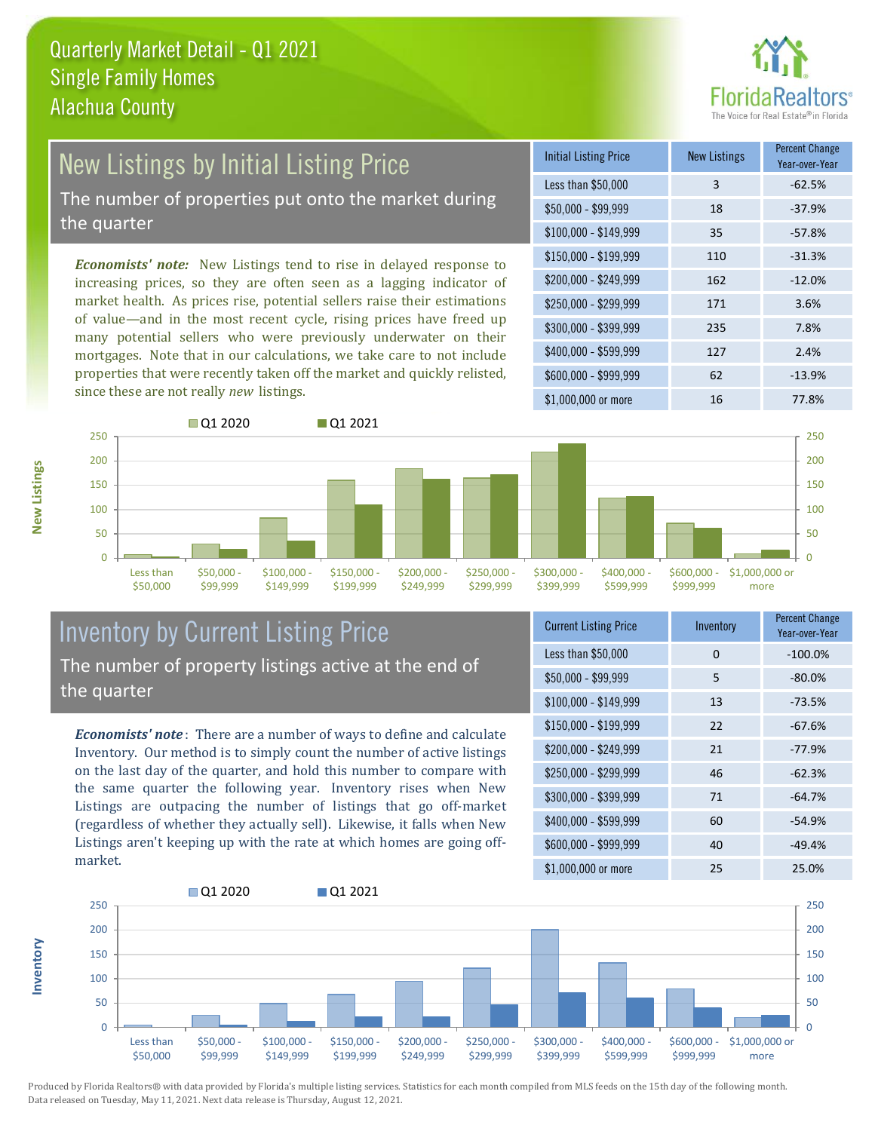

# New Listings by Initial Listing Price

The number of properties put onto the market during the quarter

*Economists' note:* New Listings tend to rise in delayed response to increasing prices, so they are often seen as a lagging indicator of market health. As prices rise, potential sellers raise their estimations of value—and in the most recent cycle, rising prices have freed up many potential sellers who were previously underwater on their mortgages. Note that in our calculations, we take care to not include properties that were recently taken off the market and quickly relisted, since these are not really *new* listings.

| <b>Initial Listing Price</b> | <b>New Listings</b> | <b>Percent Change</b><br>Year-over-Year |
|------------------------------|---------------------|-----------------------------------------|
| Less than \$50,000           | 3                   | $-62.5%$                                |
| $$50,000 - $99,999$          | 18                  | $-37.9%$                                |
| $$100,000 - $149,999$        | 35                  | $-57.8%$                                |
| $$150,000 - $199,999$        | 110                 | $-31.3%$                                |
| \$200,000 - \$249,999        | 162                 | $-12.0%$                                |
| \$250,000 - \$299,999        | 171                 | 3.6%                                    |
| \$300,000 - \$399,999        | 235                 | 7.8%                                    |
| \$400,000 - \$599,999        | 127                 | 2.4%                                    |
| \$600,000 - \$999,999        | 62                  | $-13.9%$                                |
| \$1,000,000 or more          | 16                  | 77.8%                                   |



### Inventory by Current Listing Price The number of property listings active at the end of the quarter

*Economists' note* : There are a number of ways to define and calculate Inventory. Our method is to simply count the number of active listings on the last day of the quarter, and hold this number to compare with the same quarter the following year. Inventory rises when New Listings are outpacing the number of listings that go off-market (regardless of whether they actually sell). Likewise, it falls when New Listings aren't keeping up with the rate at which homes are going offmarket.

| <b>Current Listing Price</b> | Inventory | <b>Percent Change</b><br>Year-over-Year |
|------------------------------|-----------|-----------------------------------------|
| Less than \$50,000           | 0         | $-100.0%$                               |
| $$50,000 - $99,999$          | 5         | $-80.0%$                                |
| $$100,000 - $149,999$        | 13        | $-73.5%$                                |
| $$150,000 - $199,999$        | 22        | $-67.6%$                                |
| \$200,000 - \$249,999        | 21        | $-77.9%$                                |
| \$250,000 - \$299,999        | 46        | $-62.3%$                                |
| \$300,000 - \$399,999        | 71        | $-64.7%$                                |
| \$400,000 - \$599,999        | 60        | $-54.9%$                                |
| \$600,000 - \$999,999        | 40        | $-49.4%$                                |
| \$1,000,000 or more          | 25        | 25.0%                                   |



Produced by Florida Realtors® with data provided by Florida's multiple listing services. Statistics for each month compiled from MLS feeds on the 15th day of the following month. Data released on Tuesday, May 11, 2021. Next data release is Thursday, August 12, 2021.

**Inventory**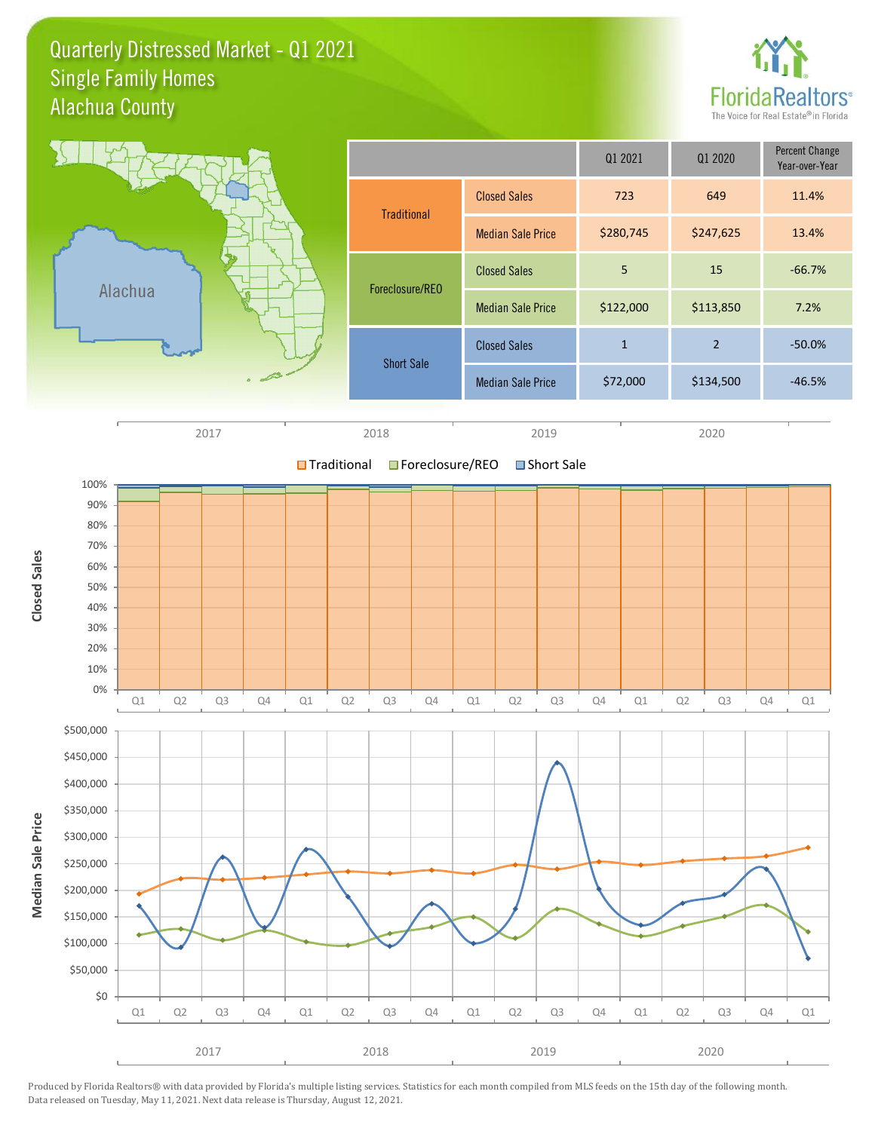Quarterly Distressed Market - Q1 2021 Alachua County Single Family Homes





Produced by Florida Realtors® with data provided by Florida's multiple listing services. Statistics for each month compiled from MLS feeds on the 15th day of the following month. Data released on Tuesday, May 11, 2021. Next data release is Thursday, August 12, 2021.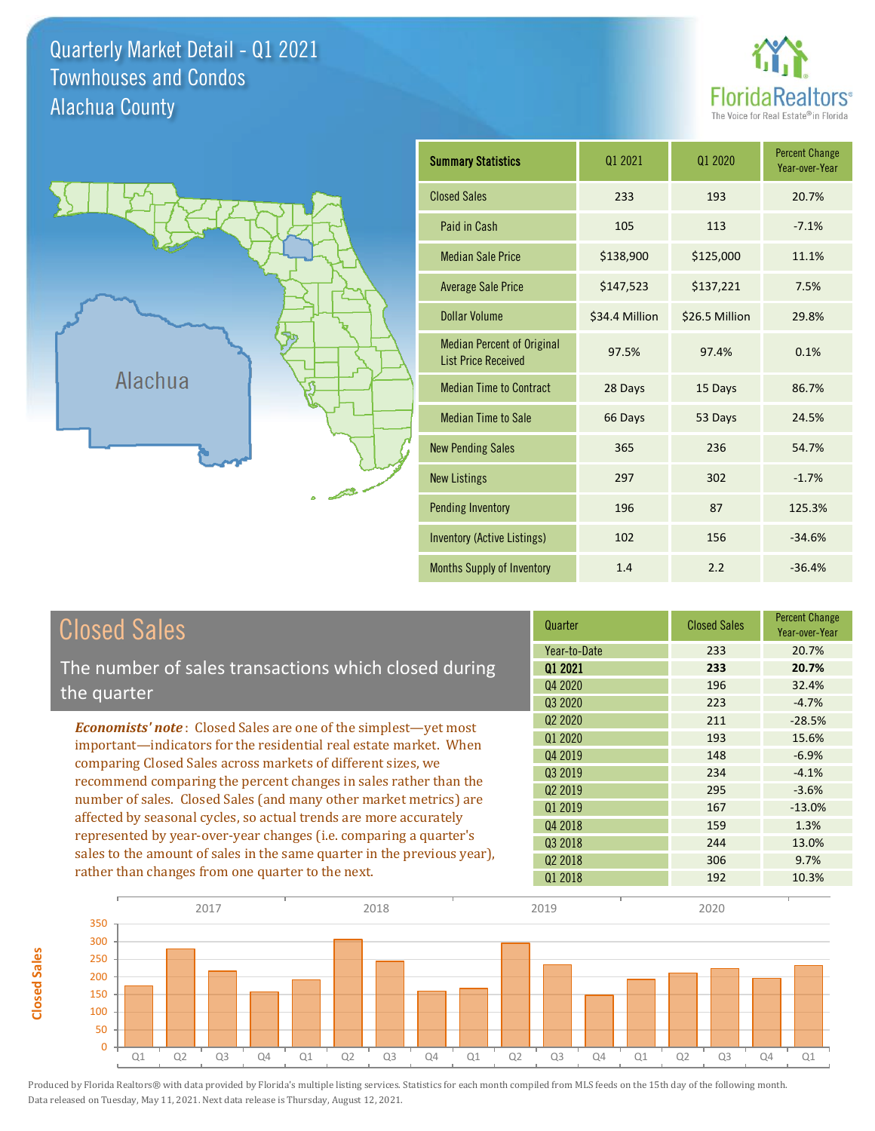Quarterly Market Detail - Q1 2021 Alachua County Townhouses and Condos





**Closed Sales**

**Closed Sales** 

| <b>Summary Statistics</b>                                       | 01 2021        | 01 2020        | <b>Percent Change</b><br>Year-over-Year |
|-----------------------------------------------------------------|----------------|----------------|-----------------------------------------|
| <b>Closed Sales</b>                                             | 233            | 193            | 20.7%                                   |
| Paid in Cash                                                    | 105            | 113            | $-7.1%$                                 |
| <b>Median Sale Price</b>                                        | \$138,900      | \$125,000      | 11.1%                                   |
| <b>Average Sale Price</b>                                       | \$147,523      | \$137,221      | 7.5%                                    |
| <b>Dollar Volume</b>                                            | \$34.4 Million | \$26.5 Million | 29.8%                                   |
| <b>Median Percent of Original</b><br><b>List Price Received</b> | 97.5%          | 97.4%          | 0.1%                                    |
| <b>Median Time to Contract</b>                                  | 28 Days        | 15 Days        | 86.7%                                   |
| <b>Median Time to Sale</b>                                      | 66 Days        | 53 Days        | 24.5%                                   |
| <b>New Pending Sales</b>                                        | 365            | 236            | 54.7%                                   |
| <b>New Listings</b>                                             | 297            | 302            | $-1.7%$                                 |
| <b>Pending Inventory</b>                                        | 196            | 87             | 125.3%                                  |
| <b>Inventory (Active Listings)</b>                              | 102<br>156     |                | $-34.6%$                                |
| Months Supply of Inventory                                      | 1.4            | 2.2            | $-36.4%$                                |

| <b>Closed Sales</b>                                                                                                                                                                                   | Quarter             | <b>Closed Sales</b> | <b>Percent Change</b><br>Year-over-Year |
|-------------------------------------------------------------------------------------------------------------------------------------------------------------------------------------------------------|---------------------|---------------------|-----------------------------------------|
|                                                                                                                                                                                                       | Year-to-Date        | 233                 | 20.7%                                   |
| The number of sales transactions which closed during                                                                                                                                                  | 01 2021             | 233                 | 20.7%                                   |
| the quarter                                                                                                                                                                                           | Q4 2020             | 196                 | 32.4%                                   |
|                                                                                                                                                                                                       | Q3 2020             | 223                 | $-4.7%$                                 |
| <b>Economists' note:</b> Closed Sales are one of the simplest-yet most                                                                                                                                | Q <sub>2</sub> 2020 | 211                 | $-28.5%$                                |
| important—indicators for the residential real estate market. When                                                                                                                                     | Q1 2020             | 193                 | 15.6%                                   |
| comparing Closed Sales across markets of different sizes, we<br>recommend comparing the percent changes in sales rather than the<br>number of sales. Closed Sales (and many other market metrics) are | Q4 2019             | 148                 | $-6.9%$                                 |
|                                                                                                                                                                                                       | Q3 2019             | 234                 | $-4.1%$                                 |
|                                                                                                                                                                                                       | Q <sub>2</sub> 2019 | 295                 | $-3.6%$                                 |
|                                                                                                                                                                                                       | Q1 2019             | 167                 | $-13.0\%$                               |
| affected by seasonal cycles, so actual trends are more accurately                                                                                                                                     | Q4 2018             | 159                 | 1.3%                                    |
| represented by year-over-year changes (i.e. comparing a quarter's                                                                                                                                     | Q3 2018             | 244                 | 13.0%                                   |
| sales to the amount of sales in the same quarter in the previous year),                                                                                                                               | Q <sub>2</sub> 2018 | 306                 | 9.7%                                    |
| rather than changes from one quarter to the next.                                                                                                                                                     | Q1 2018             | 192                 | 10.3%                                   |

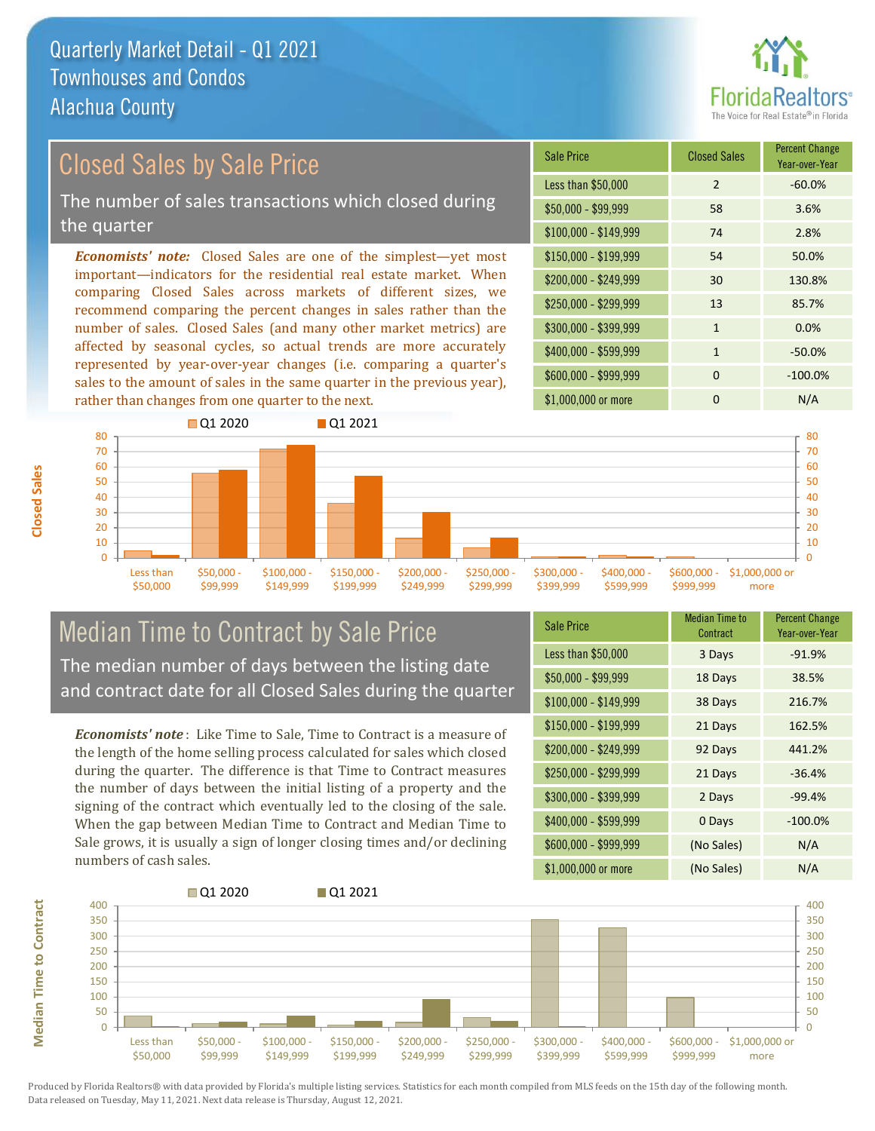

## Closed Sales by Sale Price

The number of sales transactions which closed during the quarter

*Economists' note:* Closed Sales are one of the simplest—yet most important—indicators for the residential real estate market. When comparing Closed Sales across markets of different sizes, we recommend comparing the percent changes in sales rather than the number of sales. Closed Sales (and many other market metrics) are affected by seasonal cycles, so actual trends are more accurately represented by year-over-year changes (i.e. comparing a quarter's sales to the amount of sales in the same quarter in the previous year), rather than changes from one quarter to the next.





### Median Time to Contract by Sale Price The median number of days between the listing date and contract date for all Closed Sales during the quarter

*Economists' note* : Like Time to Sale, Time to Contract is a measure of the length of the home selling process calculated for sales which closed during the quarter. The difference is that Time to Contract measures the number of days between the initial listing of a property and the signing of the contract which eventually led to the closing of the sale. When the gap between Median Time to Contract and Median Time to Sale grows, it is usually a sign of longer closing times and/or declining numbers of cash sales.

| <b>Sale Price</b>     | <b>Median Time to</b><br>Contract | <b>Percent Change</b><br>Year-over-Year |
|-----------------------|-----------------------------------|-----------------------------------------|
| Less than \$50,000    | 3 Days                            | $-91.9%$                                |
| $$50,000 - $99,999$   | 18 Days                           | 38.5%                                   |
| $$100,000 - $149,999$ | 38 Days                           | 216.7%                                  |
| $$150,000 - $199,999$ | 21 Days                           | 162.5%                                  |
| \$200,000 - \$249,999 | 92 Days                           | 441.2%                                  |
| \$250,000 - \$299,999 | 21 Days                           | $-36.4%$                                |
| \$300,000 - \$399,999 | 2 Days                            | $-99.4%$                                |
| \$400,000 - \$599,999 | 0 Days                            | $-100.0\%$                              |
| \$600,000 - \$999,999 | (No Sales)                        | N/A                                     |
| \$1,000,000 or more   | (No Sales)                        | N/A                                     |

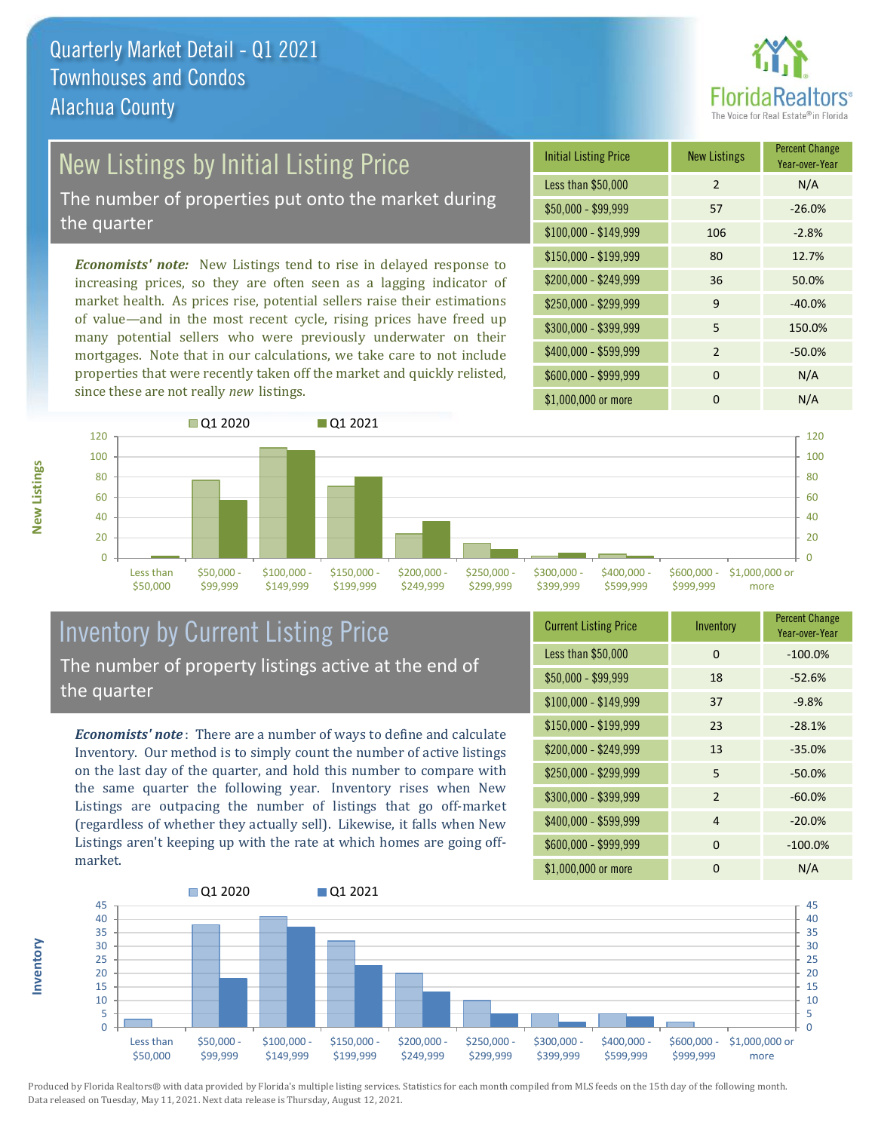

## **New Listings by Initial Listing Price**

The number of properties put onto the market during the quarter

*Economists' note:* New Listings tend to rise in delayed response to increasing prices, so they are often seen as a lagging indicator of market health. As prices rise, potential sellers raise their estimations of value—and in the most recent cycle, rising prices have freed up many potential sellers who were previously underwater on their mortgages. Note that in our calculations, we take care to not include properties that were recently taken off the market and quickly relisted, since these are not really *new* listings.

| <b>Initial Listing Price</b> | <b>New Listings</b> | <b>Percent Change</b><br>Year-over-Year |
|------------------------------|---------------------|-----------------------------------------|
| Less than \$50,000           | $\overline{2}$      | N/A                                     |
| $$50,000 - $99,999$          | 57                  | $-26.0%$                                |
| $$100,000 - $149,999$        | 106                 | $-2.8%$                                 |
| $$150,000 - $199,999$        | 80                  | 12.7%                                   |
| \$200,000 - \$249,999        | 36                  | 50.0%                                   |
| \$250,000 - \$299,999        | 9                   | $-40.0%$                                |
| \$300,000 - \$399,999        | 5                   | 150.0%                                  |
| \$400,000 - \$599,999        | $\mathcal{P}$       | $-50.0%$                                |
| \$600,000 - \$999,999        | $\Omega$            | N/A                                     |
| \$1,000,000 or more          | n                   | N/A                                     |



### Inventory by Current Listing Price The number of property listings active at the end of the quarter

*Economists' note* : There are a number of ways to define and calculate Inventory. Our method is to simply count the number of active listings on the last day of the quarter, and hold this number to compare with the same quarter the following year. Inventory rises when New Listings are outpacing the number of listings that go off-market (regardless of whether they actually sell). Likewise, it falls when New Listings aren't keeping up with the rate at which homes are going offmarket.

| <b>Current Listing Price</b> | Inventory | <b>Percent Change</b><br>Year-over-Year |
|------------------------------|-----------|-----------------------------------------|
| Less than \$50,000           | $\Omega$  | $-100.0%$                               |
| $$50,000 - $99,999$          | 18        | $-52.6%$                                |
| $$100,000 - $149,999$        | 37        | $-9.8%$                                 |
| $$150,000 - $199,999$        | 23        | $-28.1%$                                |
| \$200,000 - \$249,999        | 13        | $-35.0%$                                |
| \$250,000 - \$299,999        | 5         | $-50.0%$                                |
| \$300,000 - \$399,999        | 2         | $-60.0%$                                |
| \$400,000 - \$599,999        | 4         | $-20.0%$                                |
| \$600,000 - \$999,999        | $\Omega$  | $-100.0%$                               |
| \$1,000,000 or more          | ŋ         | N/A                                     |



Produced by Florida Realtors® with data provided by Florida's multiple listing services. Statistics for each month compiled from MLS feeds on the 15th day of the following month. Data released on Tuesday, May 11, 2021. Next data release is Thursday, August 12, 2021.

**Inventory**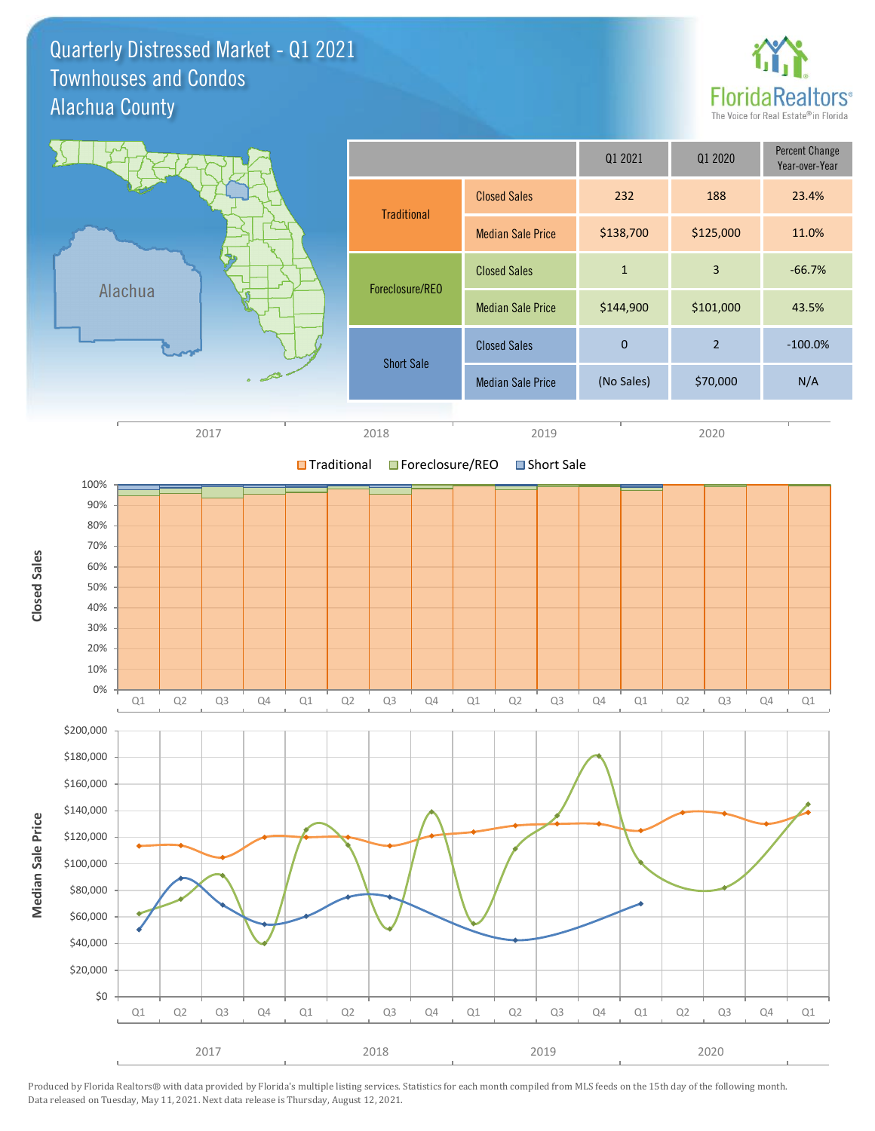Quarterly Distressed Market - Q1 2021 Alachua County Townhouses and Condos



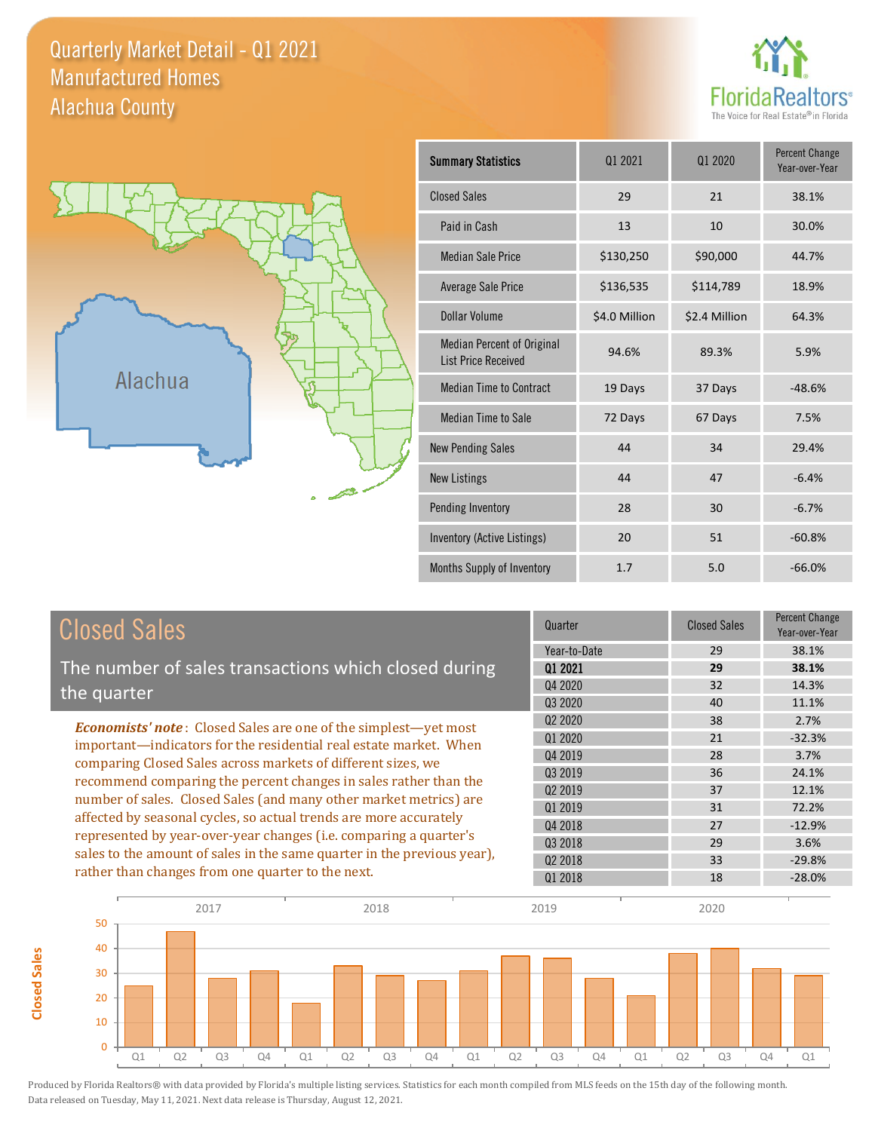Quarterly Market Detail - Q1 2021 Alachua County Manufactured Homes





**Closed Sales**

**Closed Sales** 

| <b>Summary Statistics</b>                                       | 01 2020<br>01 2021 |               | <b>Percent Change</b><br>Year-over-Year |
|-----------------------------------------------------------------|--------------------|---------------|-----------------------------------------|
| <b>Closed Sales</b>                                             | 29                 | 21            | 38.1%                                   |
| Paid in Cash                                                    | 13                 | 10            | 30.0%                                   |
| <b>Median Sale Price</b>                                        | \$130,250          | \$90,000      | 44.7%                                   |
| <b>Average Sale Price</b>                                       | \$136,535          | \$114,789     | 18.9%                                   |
| Dollar Volume                                                   | \$4.0 Million      | \$2.4 Million | 64.3%                                   |
| <b>Median Percent of Original</b><br><b>List Price Received</b> | 94.6%              | 89.3%         | 5.9%                                    |
| <b>Median Time to Contract</b>                                  | 19 Days            | 37 Days       | $-48.6%$                                |
| <b>Median Time to Sale</b>                                      | 72 Days            | 67 Days       | 7.5%                                    |
| <b>New Pending Sales</b>                                        | 44                 | 34            | 29.4%                                   |
| <b>New Listings</b>                                             | 44                 | 47            | $-6.4%$                                 |
| Pending Inventory                                               | 28                 | 30            | $-6.7%$                                 |
| Inventory (Active Listings)                                     | 20                 | 51            | $-60.8%$                                |
| Months Supply of Inventory                                      | 1.7                | 5.0           | $-66.0%$                                |

| <b>Closed Sales</b>                                                                                                                                                                                                                                                        | Quarter             | <b>Closed Sales</b> | Percent Change<br>Year-over-Year |
|----------------------------------------------------------------------------------------------------------------------------------------------------------------------------------------------------------------------------------------------------------------------------|---------------------|---------------------|----------------------------------|
|                                                                                                                                                                                                                                                                            | Year-to-Date        | 29                  | 38.1%                            |
| The number of sales transactions which closed during                                                                                                                                                                                                                       | 01 2021             | 29                  | 38.1%                            |
| the quarter                                                                                                                                                                                                                                                                | Q4 2020             | 32                  | 14.3%                            |
|                                                                                                                                                                                                                                                                            | Q3 2020             | 40                  | 11.1%                            |
| <b>Economists' note:</b> Closed Sales are one of the simplest—yet most                                                                                                                                                                                                     | Q <sub>2</sub> 2020 | 38                  | 2.7%                             |
| important—indicators for the residential real estate market. When<br>comparing Closed Sales across markets of different sizes, we<br>recommend comparing the percent changes in sales rather than the<br>number of sales. Closed Sales (and many other market metrics) are | 01 2020             | 21                  | $-32.3%$                         |
|                                                                                                                                                                                                                                                                            | Q4 2019             | 28                  | 3.7%                             |
|                                                                                                                                                                                                                                                                            | Q3 2019             | 36                  | 24.1%                            |
|                                                                                                                                                                                                                                                                            | Q <sub>2</sub> 2019 | 37                  | 12.1%                            |
|                                                                                                                                                                                                                                                                            | 01 2019             | 31                  | 72.2%                            |
| affected by seasonal cycles, so actual trends are more accurately                                                                                                                                                                                                          | Q4 2018             | 27                  | $-12.9%$                         |
| represented by year-over-year changes (i.e. comparing a quarter's                                                                                                                                                                                                          | Q3 2018             | 29                  | 3.6%                             |
| sales to the amount of sales in the same quarter in the previous year),                                                                                                                                                                                                    | Q <sub>2</sub> 2018 | 33                  | $-29.8%$                         |
| rather than changes from one quarter to the next.                                                                                                                                                                                                                          | 01 2018             | 18                  | $-28.0%$                         |

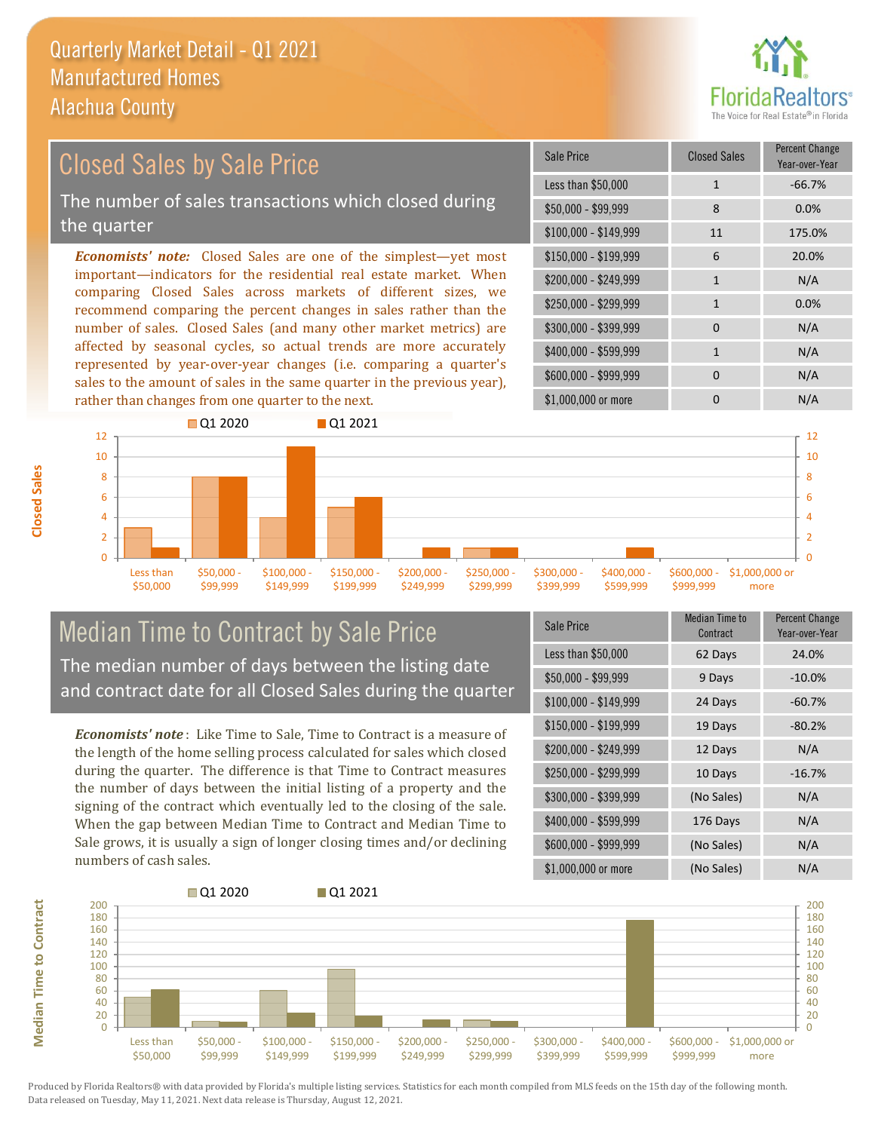

### \$100,000 - \$149,999 11 175.0% Sale Price Closed Sales Percent Change Year-over-Year Less than \$50,000 1 1 -66.7%  $$50,000 - $99,999$  8 0.0% \$150,000 - \$199,999 6 20.0%  $$200,000 - $249,999$  1 N/A  $$400,000 - $599,999$  1 N/A *Economists' note:* Closed Sales are one of the simplest—yet most important—indicators for the residential real estate market. When comparing Closed Sales across markets of different sizes, we recommend comparing the percent changes in sales rather than the number of sales. Closed Sales (and many other market metrics) are affected by seasonal cycles, so actual trends are more accurately \$250,000 - \$299,999 1 0.0% \$300,000 - \$399,999 0 0 N/A Closed Sales by Sale Price The number of sales transactions which closed during the quarter

 $\Omega$  $\overline{2}$ 4 6 8 10 12 Less than \$50,000 \$50,000 - \$99,999 \$100,000 - \$149,999 \$150,000 - \$199,999 \$200,000 - \$249,999 \$250,000 - \$299,999 \$300,000 - \$399,999 \$400,000 - \$599,999 \$600,000 - \$999,999 \$1,000,000 or more **Q1 2020** Q1 2021  $\Omega$  $\overline{2}$ 4 6 8 10 12

### Median Time to Contract by Sale Price The median number of days between the listing date and contract date for all Closed Sales during the quarter

represented by year-over-year changes (i.e. comparing a quarter's sales to the amount of sales in the same quarter in the previous year),

rather than changes from one quarter to the next.

*Economists' note* : Like Time to Sale, Time to Contract is a measure of the length of the home selling process calculated for sales which closed during the quarter. The difference is that Time to Contract measures the number of days between the initial listing of a property and the signing of the contract which eventually led to the closing of the sale. When the gap between Median Time to Contract and Median Time to Sale grows, it is usually a sign of longer closing times and/or declining numbers of cash sales.

| Sale Price            | Median Time to<br>Contract | <b>Percent Change</b><br>Year-over-Year |
|-----------------------|----------------------------|-----------------------------------------|
| Less than \$50,000    | 62 Days                    | 24.0%                                   |
| \$50,000 - \$99,999   | 9 Days                     | $-10.0%$                                |
| $$100,000 - $149,999$ | 24 Days                    | $-60.7%$                                |
| $$150,000 - $199,999$ | 19 Days                    | $-80.2%$                                |
| \$200,000 - \$249,999 | 12 Days                    | N/A                                     |
| \$250,000 - \$299,999 | 10 Days                    | $-16.7%$                                |
| \$300,000 - \$399,999 | (No Sales)                 | N/A                                     |
| \$400,000 - \$599,999 | 176 Days                   | N/A                                     |
| \$600,000 - \$999,999 | (No Sales)                 | N/A                                     |
| \$1,000,000 or more   | (No Sales)                 | N/A                                     |

\$600,000 - \$999,999 0 0 N/A

\$1,000,000 or more 0 0 N/A

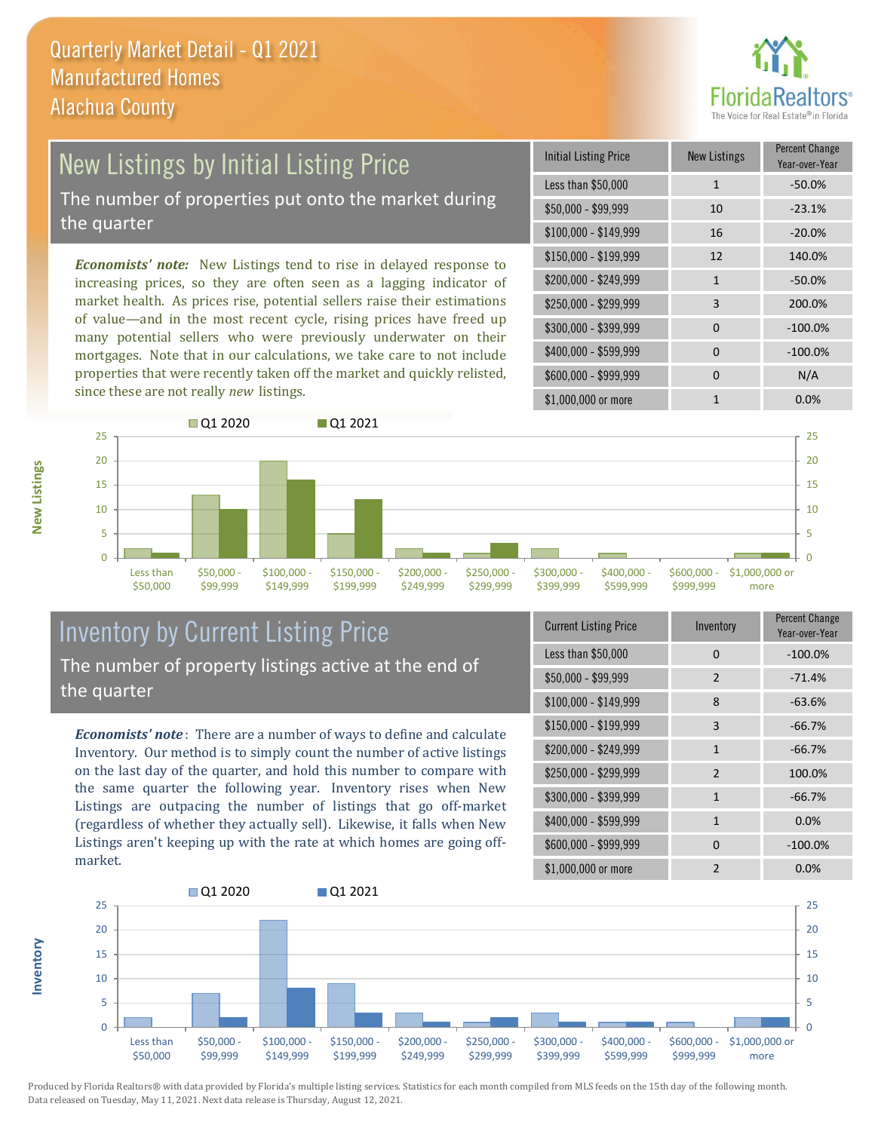

### New Listings by Initial Listing Price The number of properties put onto the market during

the quarter

*Economists' note:* New Listings tend to rise in delayed response to increasing prices, so they are often seen as a lagging indicator of market health. As prices rise, potential sellers raise their estimations of value—and in the most recent cycle, rising prices have freed up many potential sellers who were previously underwater on their mortgages. Note that in our calculations, we take care to not include properties that were recently taken off the market and quickly relisted, since these are not really *new* listings.

| <b>Initial Listing Price</b> | <b>New Listings</b> | <b>Percent Change</b><br>Year-over-Year |
|------------------------------|---------------------|-----------------------------------------|
| Less than \$50,000           | $\mathbf{1}$        | $-50.0%$                                |
| $$50,000 - $99,999$          | 10                  | $-23.1%$                                |
| $$100,000 - $149,999$        | 16                  | $-20.0%$                                |
| $$150,000 - $199,999$        | 12                  | 140.0%                                  |
| \$200,000 - \$249,999        | $\mathbf{1}$        | $-50.0%$                                |
| \$250,000 - \$299,999        | 3                   | 200.0%                                  |
| \$300,000 - \$399,999        | $\Omega$            | $-100.0%$                               |
| \$400,000 - \$599,999        | 0                   | $-100.0%$                               |
| \$600,000 - \$999,999        | 0                   | N/A                                     |
| \$1,000,000 or more          | 1                   | $0.0\%$                                 |



### Inventory by Current Listing Price The number of property listings active at the end of the quarter

*Economists' note* : There are a number of ways to define and calculate Inventory. Our method is to simply count the number of active listings on the last day of the quarter, and hold this number to compare with the same quarter the following year. Inventory rises when New Listings are outpacing the number of listings that go off-market (regardless of whether they actually sell). Likewise, it falls when New Listings aren't keeping up with the rate at which homes are going offmarket.

| <b>Current Listing Price</b> | Inventory      | Percent Change<br>Year-over-Year |
|------------------------------|----------------|----------------------------------|
| Less than \$50,000           | $\Omega$       | $-100.0%$                        |
| $$50,000 - $99,999$          | 2              | $-71.4%$                         |
| \$100,000 - \$149,999        | 8              | $-63.6%$                         |
| $$150,000 - $199,999$        | 3              | $-66.7%$                         |
| \$200,000 - \$249,999        | $\mathbf{1}$   | $-66.7%$                         |
| \$250,000 - \$299,999        | 2              | 100.0%                           |
| \$300,000 - \$399,999        | $\mathbf{1}$   | $-66.7%$                         |
| \$400,000 - \$599,999        | $\mathbf{1}$   | 0.0%                             |
| \$600,000 - \$999,999        | $\Omega$       | $-100.0%$                        |
| \$1,000,000 or more          | $\mathfrak{p}$ | 0.0%                             |



Produced by Florida Realtors® with data provided by Florida's multiple listing services. Statistics for each month compiled from MLS feeds on the 15th day of the following month. Data released on Tuesday, May 11, 2021. Next data release is Thursday, August 12, 2021.

**Inventory**